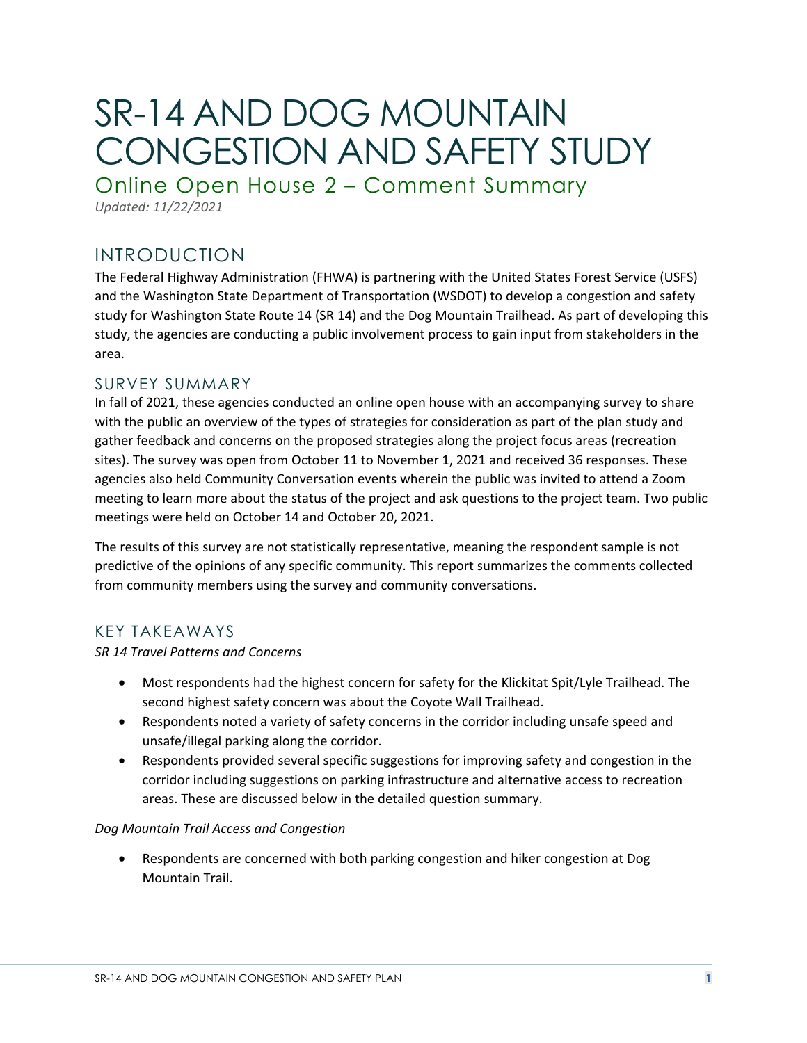# SR-14 AND DOG MOUNTAIN CONGESTION AND SAFETY STUDY

Online Open House 2 – Comment Summary

*Updated: 11/22/2021*

## INTRODUCTION

The Federal Highway Administration (FHWA) is partnering with the United States Forest Service (USFS) and the Washington State Department of Transportation (WSDOT) to develop a congestion and safety study for Washington State Route 14 (SR 14) and the Dog Mountain Trailhead. As part of developing this study, the agencies are conducting a public involvement process to gain input from stakeholders in the area.

## SURVEY SUMMARY

In fall of 2021, these agencies conducted an online open house with an accompanying survey to share with the public an overview of the types of strategies for consideration as part of the plan study and gather feedback and concerns on the proposed strategies along the project focus areas (recreation sites). The survey was open from October 11 to November 1, 2021 and received 36 responses. These agencies also held Community Conversation events wherein the public was invited to attend a Zoom meeting to learn more about the status of the project and ask questions to the project team. Two public meetings were held on October 14 and October 20, 2021.

The results of this survey are not statistically representative, meaning the respondent sample is not predictive of the opinions of any specific community. This report summarizes the comments collected from community members using the survey and community conversations.

## KEY TAKEAWAYS

## *SR 14 Travel Patterns and Concerns*

- Most respondents had the highest concern for safety for the Klickitat Spit/Lyle Trailhead. The second highest safety concern was about the Coyote Wall Trailhead.
- Respondents noted a variety of safety concerns in the corridor including unsafe speed and unsafe/illegal parking along the corridor.
- Respondents provided several specific suggestions for improving safety and congestion in the corridor including suggestions on parking infrastructure and alternative access to recreation areas. These are discussed below in the detailed question summary.

#### *Dog Mountain Trail Access and Congestion*

• Respondents are concerned with both parking congestion and hiker congestion at Dog Mountain Trail.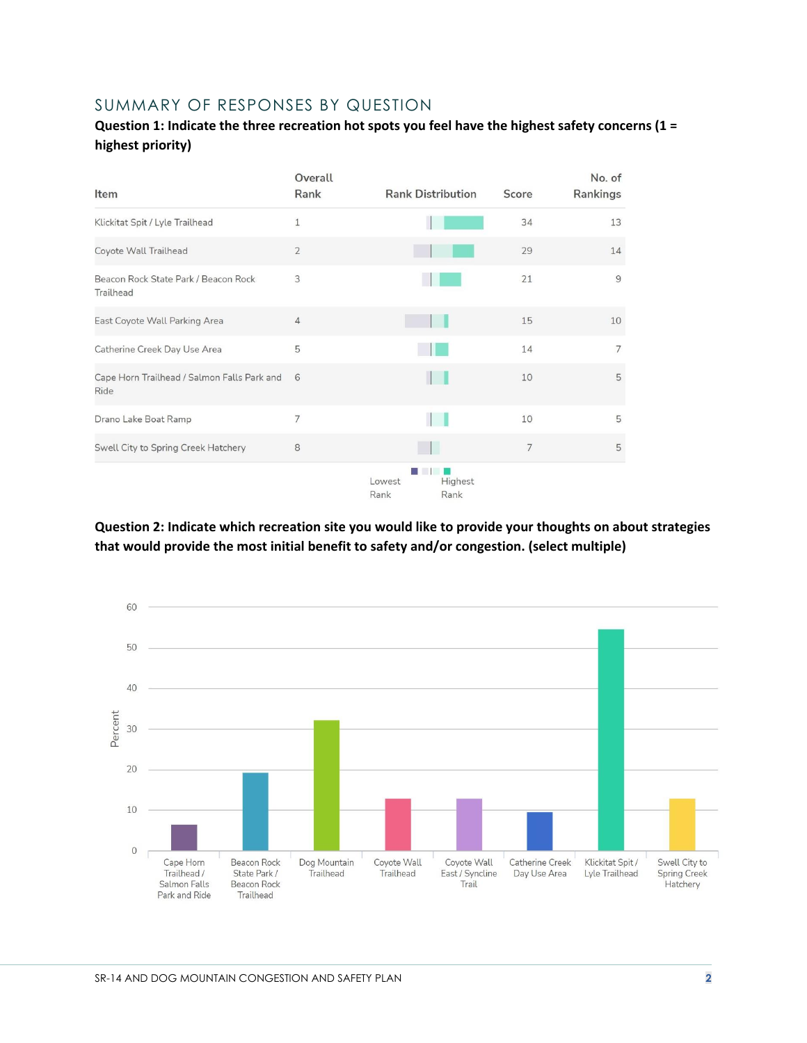## SUMMARY OF RESPONSES BY QUESTION

## **Question 1: Indicate the three recreation hot spots you feel have the highest safety concerns (1 = highest priority)**

| Item                                                | Overall<br>Rank | <b>Rank Distribution</b> |                 | Score          | No. of<br>Rankings |
|-----------------------------------------------------|-----------------|--------------------------|-----------------|----------------|--------------------|
| Klickitat Spit / Lyle Trailhead                     | $\mathbf{1}$    |                          |                 | 34             | 13                 |
| Coyote Wall Trailhead                               | $\overline{2}$  |                          |                 | 29             | 14                 |
| Beacon Rock State Park / Beacon Rock<br>Trailhead   | 3               |                          |                 | 21             | 9                  |
| East Coyote Wall Parking Area                       | $\overline{4}$  |                          |                 | 15             | 10                 |
| Catherine Creek Day Use Area                        | 5               |                          |                 | 14             | $\overline{7}$     |
| Cape Horn Trailhead / Salmon Falls Park and<br>Ride | 6               |                          |                 | 10             | 5                  |
| Drano Lake Boat Ramp                                | $\overline{7}$  |                          |                 | 10             | 5                  |
| Swell City to Spring Creek Hatchery                 | 8               |                          | H               | $\overline{7}$ | 5                  |
|                                                     |                 | Lowest<br>Rank           | Highest<br>Rank |                |                    |

**Question 2: Indicate which recreation site you would like to provide your thoughts on about strategies that would provide the most initial benefit to safety and/or congestion. (select multiple)**

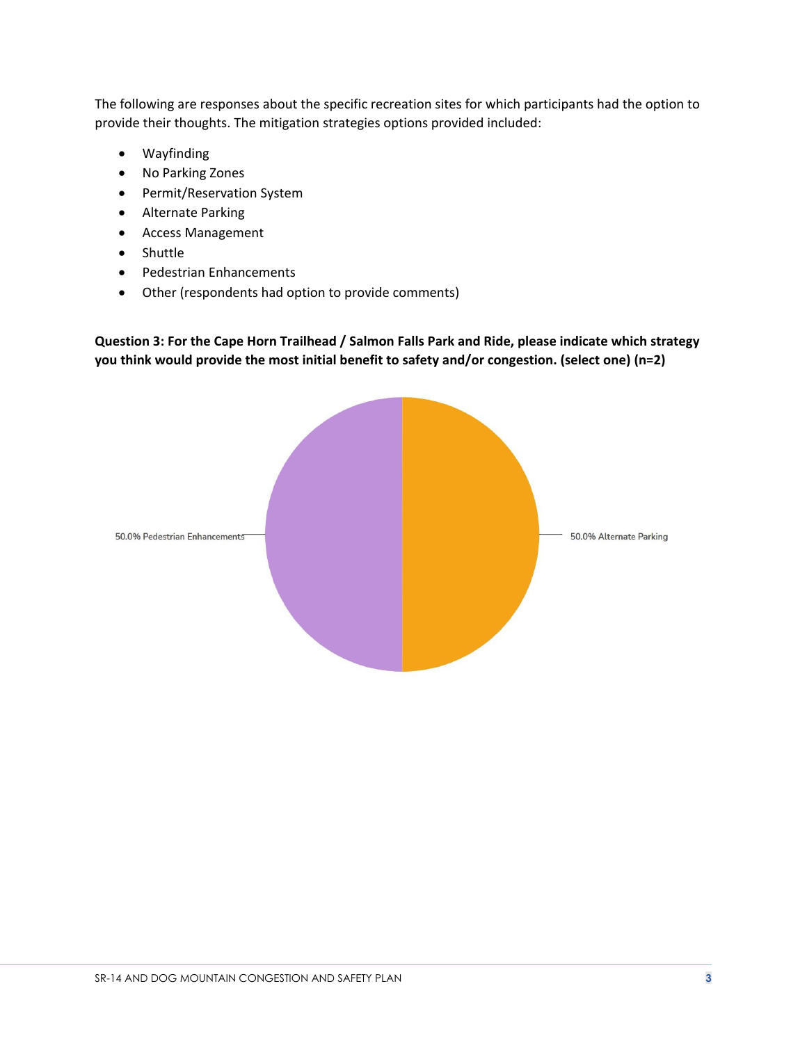The following are responses about the specific recreation sites for which participants had the option to provide their thoughts. The mitigation strategies options provided included:

- Wayfinding
- No Parking Zones
- Permit/Reservation System
- Alternate Parking
- Access Management
- Shuttle
- Pedestrian Enhancements
- Other (respondents had option to provide comments)

**Question 3: For the Cape Horn Trailhead / Salmon Falls Park and Ride, please indicate which strategy you think would provide the most initial benefit to safety and/or congestion. (select one) (n=2)**

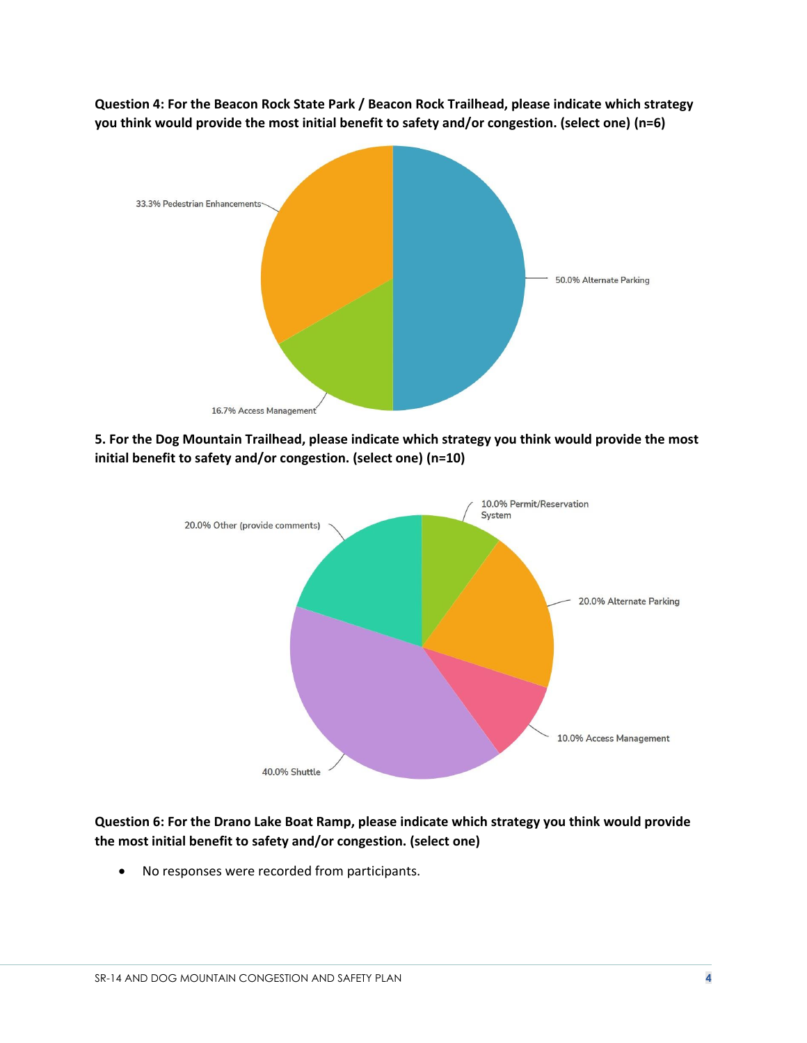**Question 4: For the Beacon Rock State Park / Beacon Rock Trailhead, please indicate which strategy you think would provide the most initial benefit to safety and/or congestion. (select one) (n=6)**



**5. For the Dog Mountain Trailhead, please indicate which strategy you think would provide the most initial benefit to safety and/or congestion. (select one) (n=10)**



## **Question 6: For the Drano Lake Boat Ramp, please indicate which strategy you think would provide the most initial benefit to safety and/or congestion. (select one)**

• No responses were recorded from participants.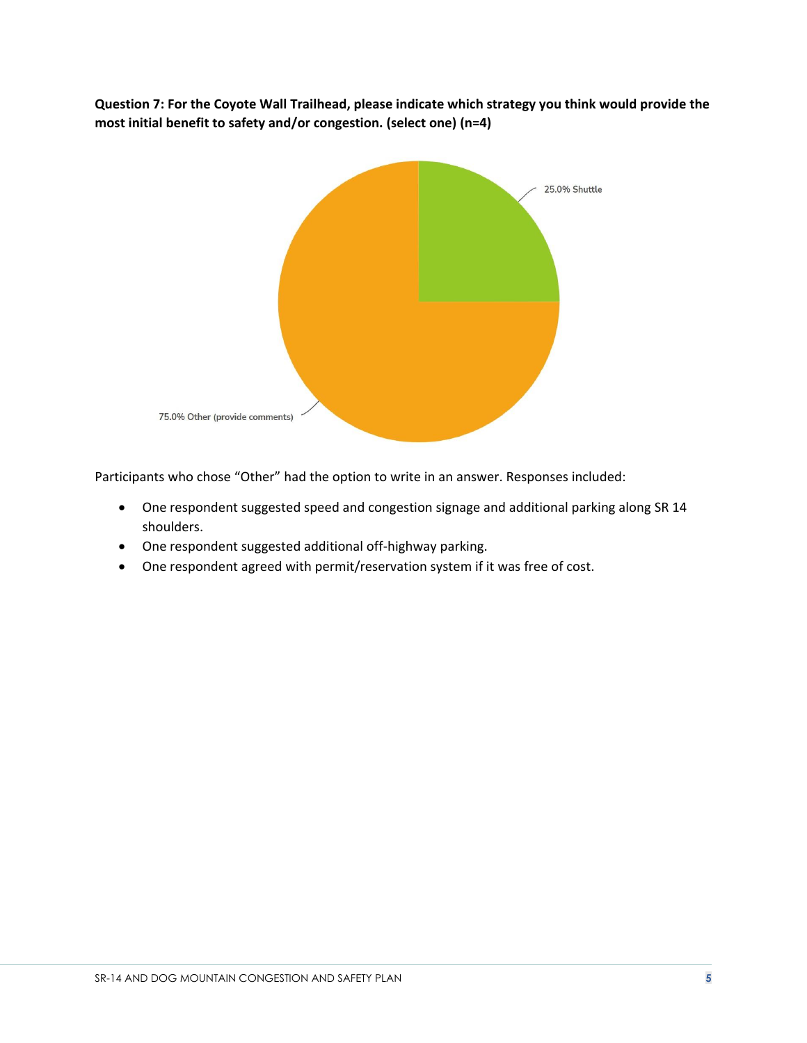**Question 7: For the Coyote Wall Trailhead, please indicate which strategy you think would provide the most initial benefit to safety and/or congestion. (select one) (n=4)**



Participants who chose "Other" had the option to write in an answer. Responses included:

- One respondent suggested speed and congestion signage and additional parking along SR 14 shoulders.
- One respondent suggested additional off-highway parking.
- One respondent agreed with permit/reservation system if it was free of cost.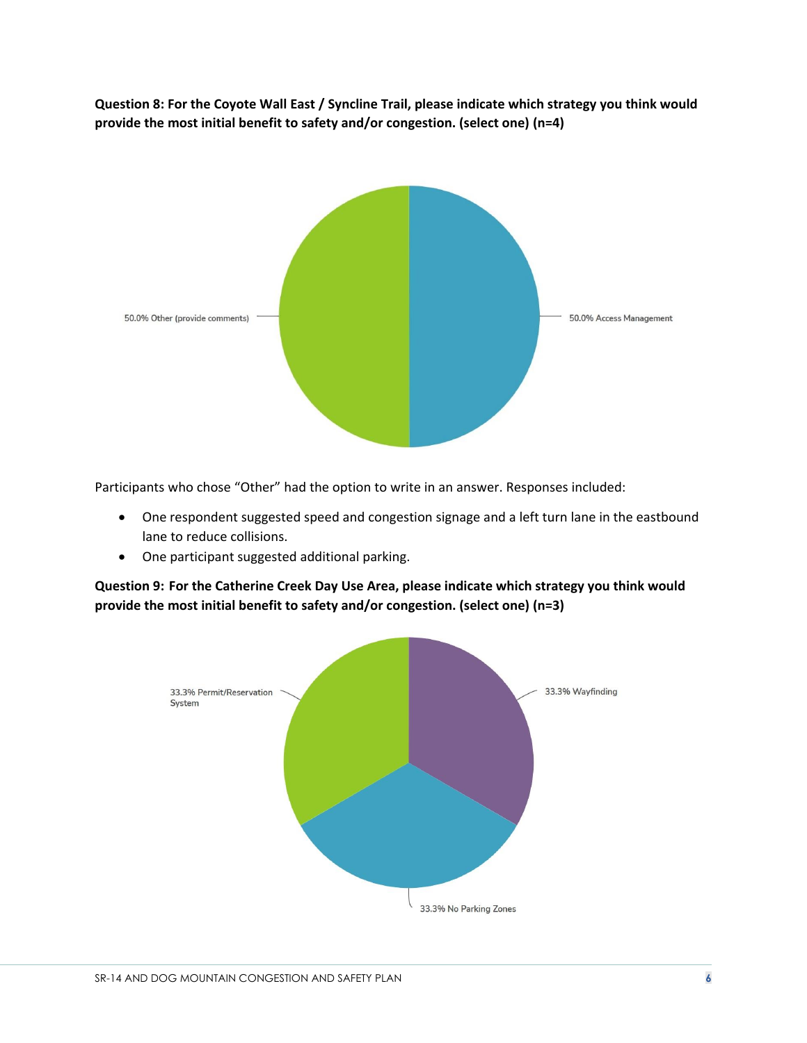**Question 8: For the Coyote Wall East / Syncline Trail, please indicate which strategy you think would provide the most initial benefit to safety and/or congestion. (select one) (n=4)**



Participants who chose "Other" had the option to write in an answer. Responses included:

- One respondent suggested speed and congestion signage and a left turn lane in the eastbound lane to reduce collisions.
- One participant suggested additional parking.

**Question 9: For the Catherine Creek Day Use Area, please indicate which strategy you think would provide the most initial benefit to safety and/or congestion. (select one) (n=3)**

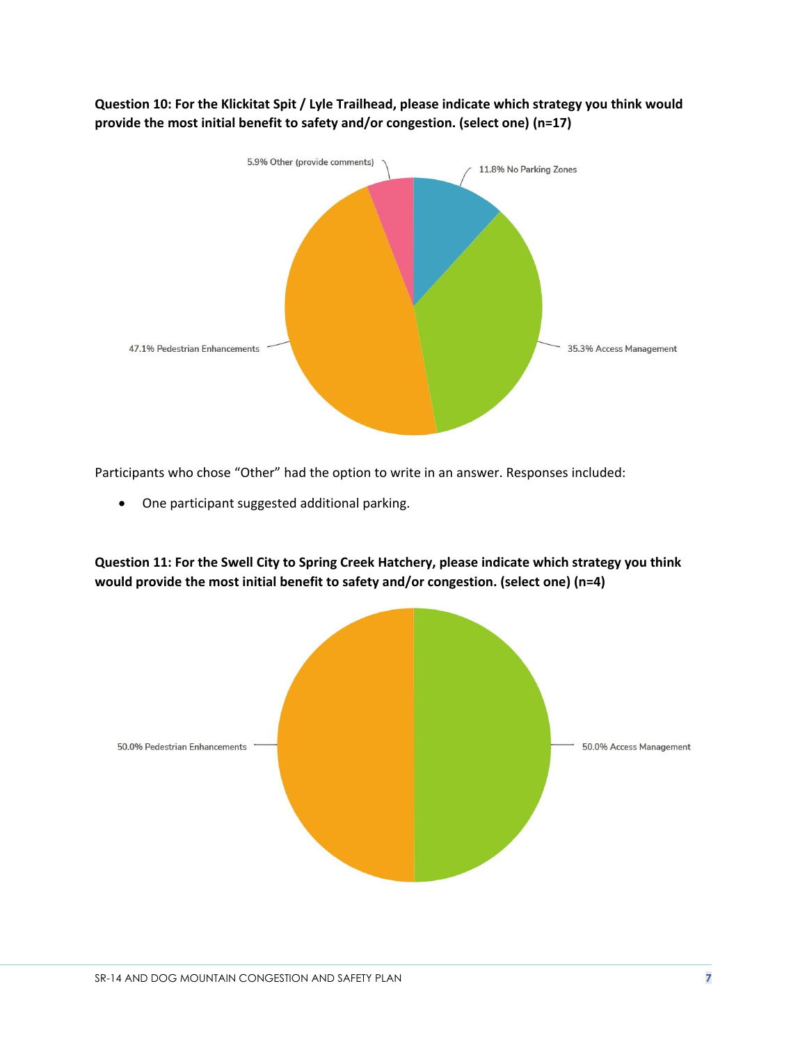

**Question 10: For the Klickitat Spit / Lyle Trailhead, please indicate which strategy you think would provide the most initial benefit to safety and/or congestion. (select one) (n=17)**

Participants who chose "Other" had the option to write in an answer. Responses included:

• One participant suggested additional parking.

**Question 11: For the Swell City to Spring Creek Hatchery, please indicate which strategy you think would provide the most initial benefit to safety and/or congestion. (select one) (n=4)**

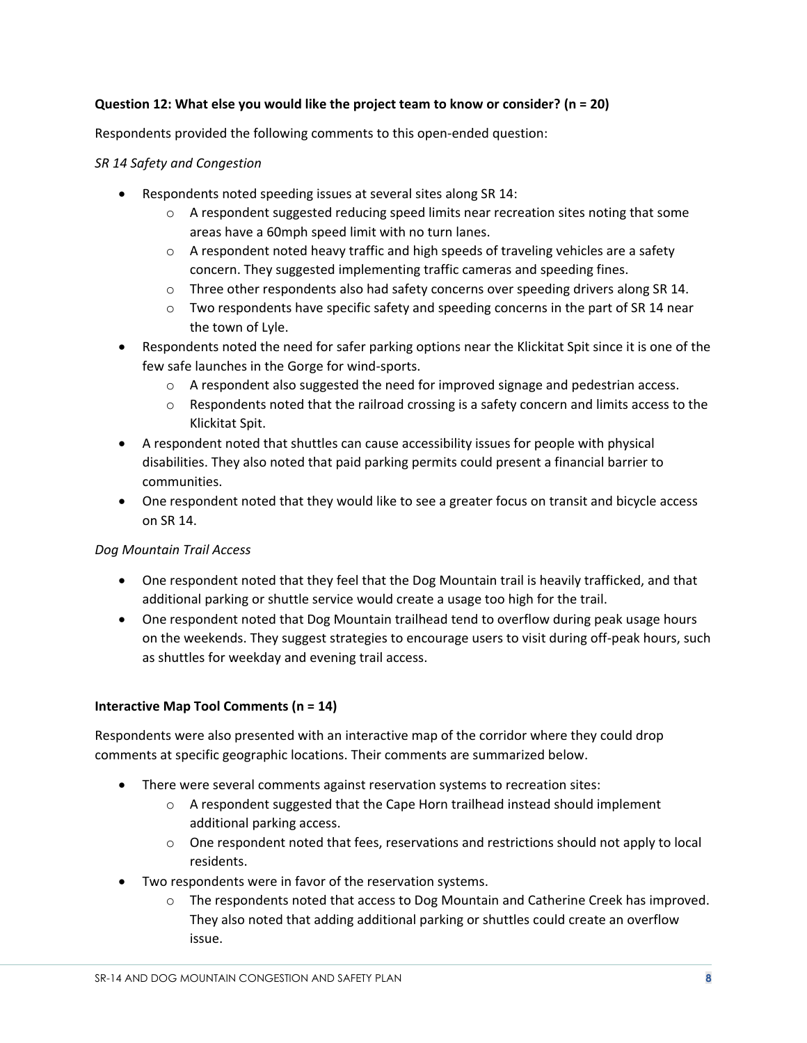#### **Question 12: What else you would like the project team to know or consider? (n = 20)**

Respondents provided the following comments to this open-ended question:

#### *SR 14 Safety and Congestion*

- Respondents noted speeding issues at several sites along SR 14:
	- $\circ$  A respondent suggested reducing speed limits near recreation sites noting that some areas have a 60mph speed limit with no turn lanes.
	- $\circ$  A respondent noted heavy traffic and high speeds of traveling vehicles are a safety concern. They suggested implementing traffic cameras and speeding fines.
	- $\circ$  Three other respondents also had safety concerns over speeding drivers along SR 14.
	- $\circ$  Two respondents have specific safety and speeding concerns in the part of SR 14 near the town of Lyle.
- Respondents noted the need for safer parking options near the Klickitat Spit since it is one of the few safe launches in the Gorge for wind-sports.
	- $\circ$  A respondent also suggested the need for improved signage and pedestrian access.
	- $\circ$  Respondents noted that the railroad crossing is a safety concern and limits access to the Klickitat Spit.
- A respondent noted that shuttles can cause accessibility issues for people with physical disabilities. They also noted that paid parking permits could present a financial barrier to communities.
- One respondent noted that they would like to see a greater focus on transit and bicycle access on SR 14.

## *Dog Mountain Trail Access*

- One respondent noted that they feel that the Dog Mountain trail is heavily trafficked, and that additional parking or shuttle service would create a usage too high for the trail.
- One respondent noted that Dog Mountain trailhead tend to overflow during peak usage hours on the weekends. They suggest strategies to encourage users to visit during off-peak hours, such as shuttles for weekday and evening trail access.

## **Interactive Map Tool Comments (n = 14)**

Respondents were also presented with an interactive map of the corridor where they could drop comments at specific geographic locations. Their comments are summarized below.

- There were several comments against reservation systems to recreation sites:
	- $\circ$  A respondent suggested that the Cape Horn trailhead instead should implement additional parking access.
	- $\circ$  One respondent noted that fees, reservations and restrictions should not apply to local residents.
- Two respondents were in favor of the reservation systems.
	- o The respondents noted that access to Dog Mountain and Catherine Creek has improved. They also noted that adding additional parking or shuttles could create an overflow issue.